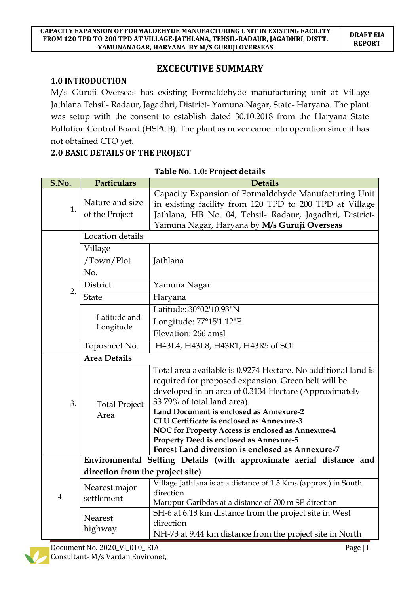# **EXCECUTIVE SUMMARY**

#### **1.0 INTRODUCTION**

M/s Guruji Overseas has existing Formaldehyde manufacturing unit at Village Jathlana Tehsil- Radaur, Jagadhri, District- Yamuna Nagar, State- Haryana. The plant was setup with the consent to establish dated 30.10.2018 from the Haryana State Pollution Control Board (HSPCB). The plant as never came into operation since it has not obtained CTO yet.

#### **2.0 BASIC DETAILS OF THE PROJECT**

| S.No. | Particulars                                                         | <b>Details</b>                                                                                                                                                                                                                                                                                                                                                                                                                                          |  |  |
|-------|---------------------------------------------------------------------|---------------------------------------------------------------------------------------------------------------------------------------------------------------------------------------------------------------------------------------------------------------------------------------------------------------------------------------------------------------------------------------------------------------------------------------------------------|--|--|
| 1.    | Nature and size<br>of the Project                                   | Capacity Expansion of Formaldehyde Manufacturing Unit<br>in existing facility from 120 TPD to 200 TPD at Village<br>Jathlana, HB No. 04, Tehsil- Radaur, Jagadhri, District-<br>Yamuna Nagar, Haryana by M/s Guruji Overseas                                                                                                                                                                                                                            |  |  |
|       | Location details                                                    |                                                                                                                                                                                                                                                                                                                                                                                                                                                         |  |  |
|       | Village<br>/Town/Plot<br>No.                                        | Jathlana                                                                                                                                                                                                                                                                                                                                                                                                                                                |  |  |
| 2.    | District                                                            | Yamuna Nagar                                                                                                                                                                                                                                                                                                                                                                                                                                            |  |  |
|       | <b>State</b>                                                        | Haryana                                                                                                                                                                                                                                                                                                                                                                                                                                                 |  |  |
|       |                                                                     | Latitude: 30°02'10.93"N                                                                                                                                                                                                                                                                                                                                                                                                                                 |  |  |
|       | Latitude and<br>Longitude                                           | Longitude: 77°15'1.12"E                                                                                                                                                                                                                                                                                                                                                                                                                                 |  |  |
|       |                                                                     | Elevation: 266 amsl                                                                                                                                                                                                                                                                                                                                                                                                                                     |  |  |
|       | Toposheet No.                                                       | H43L4, H43L8, H43R1, H43R5 of SOI                                                                                                                                                                                                                                                                                                                                                                                                                       |  |  |
|       | <b>Area Details</b>                                                 |                                                                                                                                                                                                                                                                                                                                                                                                                                                         |  |  |
| 3.    | <b>Total Project</b><br>Area                                        | Total area available is 0.9274 Hectare. No additional land is<br>required for proposed expansion. Green belt will be<br>developed in an area of 0.3134 Hectare (Approximately<br>33.79% of total land area).<br>Land Document is enclosed as Annexure-2<br>CLU Certificate is enclosed as Annexure-3<br>NOC for Property Access is enclosed as Annexure-4<br>Property Deed is enclosed as Annexure-5<br>Forest Land diversion is enclosed as Annexure-7 |  |  |
|       | Environmental Setting Details (with approximate aerial distance and |                                                                                                                                                                                                                                                                                                                                                                                                                                                         |  |  |
| 4.    | direction from the project site)                                    |                                                                                                                                                                                                                                                                                                                                                                                                                                                         |  |  |
|       | Nearest major<br>settlement                                         | Village Jathlana is at a distance of 1.5 Kms (approx.) in South<br>direction.<br>Marupur Garibdas at a distance of 700 m SE direction                                                                                                                                                                                                                                                                                                                   |  |  |
|       | Nearest<br>highway                                                  | SH-6 at 6.18 km distance from the project site in West<br>direction<br>NH-73 at 9.44 km distance from the project site in North                                                                                                                                                                                                                                                                                                                         |  |  |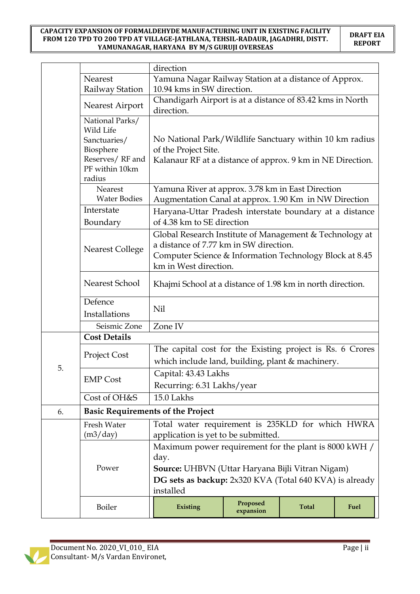|                                 |                                                                                                          | direction                                                                                                                                                                                        |                       |              |      |
|---------------------------------|----------------------------------------------------------------------------------------------------------|--------------------------------------------------------------------------------------------------------------------------------------------------------------------------------------------------|-----------------------|--------------|------|
|                                 | Nearest                                                                                                  | Yamuna Nagar Railway Station at a distance of Approx.                                                                                                                                            |                       |              |      |
|                                 | Railway Station                                                                                          | 10.94 kms in SW direction.                                                                                                                                                                       |                       |              |      |
|                                 | Nearest Airport                                                                                          | Chandigarh Airport is at a distance of 83.42 kms in North<br>direction.                                                                                                                          |                       |              |      |
|                                 | National Parks/<br>Wild Life<br>Sanctuaries/<br>Biosphere<br>Reserves/RF and<br>PF within 10km<br>radius | No National Park/Wildlife Sanctuary within 10 km radius<br>of the Project Site.<br>Kalanaur RF at a distance of approx. 9 km in NE Direction.                                                    |                       |              |      |
|                                 | Nearest<br><b>Water Bodies</b>                                                                           | Yamuna River at approx. 3.78 km in East Direction<br>Augmentation Canal at approx. 1.90 Km in NW Direction                                                                                       |                       |              |      |
|                                 | Interstate<br>Boundary                                                                                   | Haryana-Uttar Pradesh interstate boundary at a distance<br>of 4.38 km to SE direction                                                                                                            |                       |              |      |
|                                 | <b>Nearest College</b>                                                                                   | Global Research Institute of Management & Technology at<br>a distance of 7.77 km in SW direction.<br>Computer Science & Information Technology Block at 8.45<br>km in West direction.            |                       |              |      |
|                                 | Nearest School                                                                                           | Khajmi School at a distance of 1.98 km in north direction.                                                                                                                                       |                       |              |      |
| Defence<br>Nil<br>Installations |                                                                                                          |                                                                                                                                                                                                  |                       |              |      |
|                                 | Seismic Zone                                                                                             | Zone IV                                                                                                                                                                                          |                       |              |      |
|                                 | <b>Cost Details</b>                                                                                      |                                                                                                                                                                                                  |                       |              |      |
| 5.                              | <b>Project Cost</b>                                                                                      | The capital cost for the Existing project is Rs. 6 Crores<br>which include land, building, plant & machinery.                                                                                    |                       |              |      |
|                                 | <b>EMP Cost</b>                                                                                          | Capital: 43.43 Lakhs<br>Recurring: 6.31 Lakhs/year                                                                                                                                               |                       |              |      |
|                                 | Cost of OH&S                                                                                             | 15.0 Lakhs                                                                                                                                                                                       |                       |              |      |
| 6.                              | <b>Basic Requirements of the Project</b>                                                                 |                                                                                                                                                                                                  |                       |              |      |
|                                 | Fresh Water<br>(m3/day)                                                                                  | Total water requirement is 235KLD for which HWRA<br>application is yet to be submitted.                                                                                                          |                       |              |      |
|                                 | Power                                                                                                    | Maximum power requirement for the plant is 8000 kWH /<br>day.<br><b>Source:</b> UHBVN (Uttar Haryana Bijli Vitran Nigam)<br>DG sets as backup: 2x320 KVA (Total 640 KVA) is already<br>installed |                       |              |      |
|                                 | Boiler                                                                                                   | Existing                                                                                                                                                                                         | Proposed<br>expansion | <b>Total</b> | Fuel |

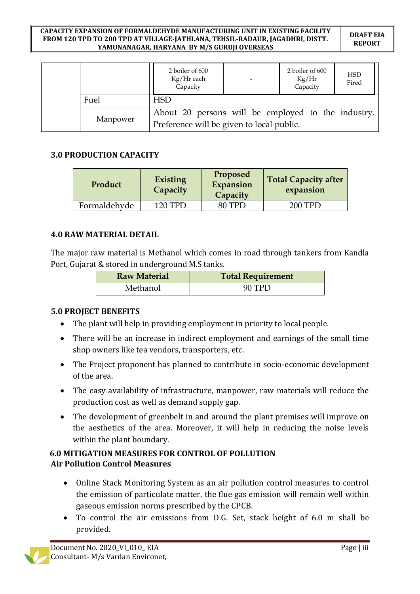#### **CAPACITY EXPANSION OF FORMALDEHYDE MANUFACTURING UNIT IN EXISTING FACILITY FROM 120 TPD TO 200 TPD AT VILLAGE-JATHLANA, TEHSIL-RADAUR, JAGADHRI, DISTT. YAMUNANAGAR, HARYANA BY M/S GURUJI OVERSEAS**

**DRAFT EIA REPORT**

|  |          | 2 boiler of 600<br>Kg/Hr each<br>Capacity          |  | 2 boiler of 600<br>Kg/Hr<br>Capacity | <b>HSD</b><br>Fired |
|--|----------|----------------------------------------------------|--|--------------------------------------|---------------------|
|  | Fuel     | <b>HSD</b>                                         |  |                                      |                     |
|  | Manpower | About 20 persons will be employed to the industry. |  |                                      |                     |
|  |          | Preference will be given to local public.          |  |                                      |                     |

#### **3.0 PRODUCTION CAPACITY**

| Product      | <b>Existing</b><br>Capacity | Proposed<br>Expansion<br>Capacity | <b>Total Capacity after</b><br>expansion |
|--------------|-----------------------------|-----------------------------------|------------------------------------------|
| Formaldehyde | 120 TPD                     | 80 TPD                            | 200 TPD                                  |

#### **4.0 RAW MATERIAL DETAIL**

The major raw material is Methanol which comes in road through tankers from Kandla Port, Gujarat & stored in underground M.S tanks.

| <b>Raw Material</b> | <b>Total Requirement</b> |
|---------------------|--------------------------|
| Methanol            | 90 TPD                   |

#### **5.0 PROJECT BENEFITS**

- The plant will help in providing employment in priority to local people.
- There will be an increase in indirect employment and earnings of the small time shop owners like tea vendors, transporters, etc.
- The Project proponent has planned to contribute in socio-economic development of the area.
- The easy availability of infrastructure, manpower, raw materials will reduce the production cost as well as demand supply gap.
- The development of greenbelt in and around the plant premises will improve on the aesthetics of the area. Moreover, it will help in reducing the noise levels within the plant boundary.

### **6.0 MITIGATION MEASURES FOR CONTROL OF POLLUTION Air Pollution Control Measures**

- Online Stack Monitoring System as an air pollution control measures to control the emission of particulate matter, the flue gas emission will remain well within gaseous emission norms prescribed by the CPCB.
- To control the air emissions from D.G. Set, stack height of 6.0 m shall be provided.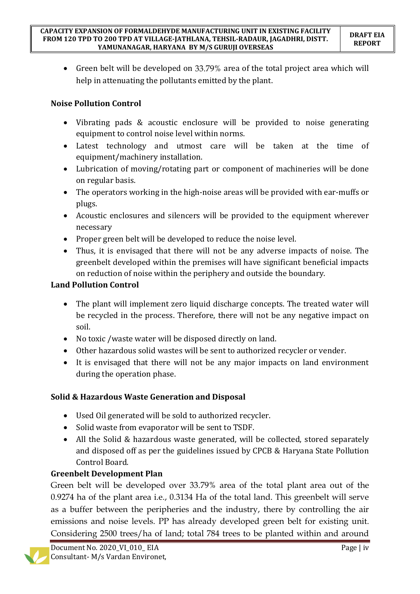Green belt will be developed on 33.79% area of the total project area which will help in attenuating the pollutants emitted by the plant.

## **Noise Pollution Control**

- Vibrating pads & acoustic enclosure will be provided to noise generating equipment to control noise level within norms.
- Latest technology and utmost care will be taken at the time of equipment/machinery installation.
- Lubrication of moving/rotating part or component of machineries will be done on regular basis.
- The operators working in the high-noise areas will be provided with ear-muffs or plugs.
- Acoustic enclosures and silencers will be provided to the equipment wherever necessary
- Proper green belt will be developed to reduce the noise level.
- Thus, it is envisaged that there will not be any adverse impacts of noise. The greenbelt developed within the premises will have significant beneficial impacts on reduction of noise within the periphery and outside the boundary.

## **Land Pollution Control**

- The plant will implement zero liquid discharge concepts. The treated water will be recycled in the process. Therefore, there will not be any negative impact on soil.
- No toxic /waste water will be disposed directly on land.
- Other hazardous solid wastes will be sent to authorized recycler or vender.
- It is envisaged that there will not be any major impacts on land environment during the operation phase.

# **Solid & Hazardous Waste Generation and Disposal**

- Used Oil generated will be sold to authorized recycler.
- Solid waste from evaporator will be sent to TSDF.
- All the Solid & hazardous waste generated, will be collected, stored separately and disposed off as per the guidelines issued by CPCB & Haryana State Pollution Control Board.

# **Greenbelt Development Plan**

Green belt will be developed over 33.79% area of the total plant area out of the 0.9274 ha of the plant area i.e., 0.3134 Ha of the total land. This greenbelt will serve as a buffer between the peripheries and the industry, there by controlling the air emissions and noise levels. PP has already developed green belt for existing unit. Considering 2500 trees/ha of land; total 784 trees to be planted within and around